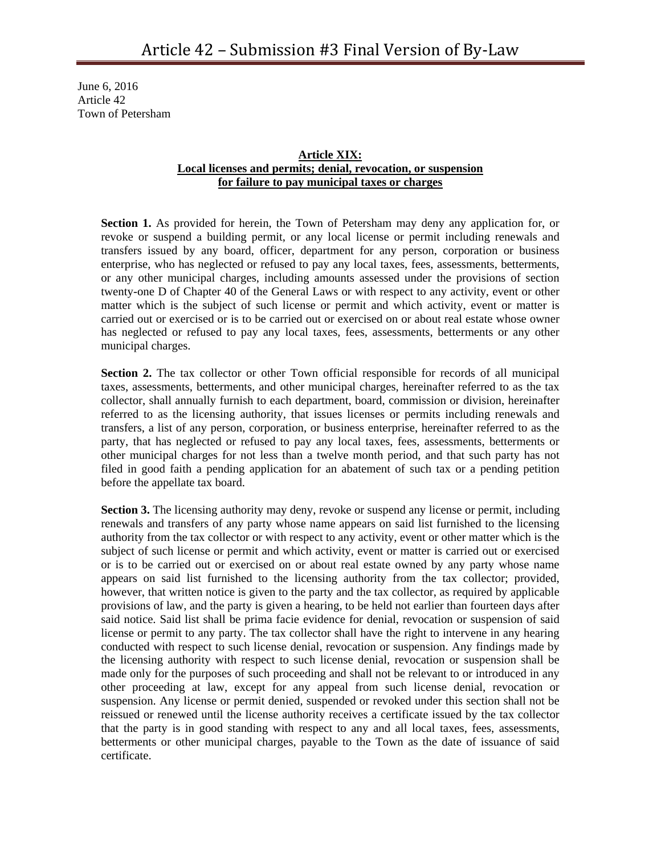June 6, 2016 Article 42 Town of Petersham

## **Article XIX: Local licenses and permits; denial, revocation, or suspension for failure to pay municipal taxes or charges**

**Section 1.** As provided for herein, the Town of Petersham may deny any application for, or revoke or suspend a building permit, or any local license or permit including renewals and transfers issued by any board, officer, department for any person, corporation or business enterprise, who has neglected or refused to pay any local taxes, fees, assessments, betterments, or any other municipal charges, including amounts assessed under the provisions of section twenty-one D of Chapter 40 of the General Laws or with respect to any activity, event or other matter which is the subject of such license or permit and which activity, event or matter is carried out or exercised or is to be carried out or exercised on or about real estate whose owner has neglected or refused to pay any local taxes, fees, assessments, betterments or any other municipal charges.

**Section 2.** The tax collector or other Town official responsible for records of all municipal taxes, assessments, betterments, and other municipal charges, hereinafter referred to as the tax collector, shall annually furnish to each department, board, commission or division, hereinafter referred to as the licensing authority, that issues licenses or permits including renewals and transfers, a list of any person, corporation, or business enterprise, hereinafter referred to as the party, that has neglected or refused to pay any local taxes, fees, assessments, betterments or other municipal charges for not less than a twelve month period, and that such party has not filed in good faith a pending application for an abatement of such tax or a pending petition before the appellate tax board.

**Section 3.** The licensing authority may deny, revoke or suspend any license or permit, including renewals and transfers of any party whose name appears on said list furnished to the licensing authority from the tax collector or with respect to any activity, event or other matter which is the subject of such license or permit and which activity, event or matter is carried out or exercised or is to be carried out or exercised on or about real estate owned by any party whose name appears on said list furnished to the licensing authority from the tax collector; provided, however, that written notice is given to the party and the tax collector, as required by applicable provisions of law, and the party is given a hearing, to be held not earlier than fourteen days after said notice. Said list shall be prima facie evidence for denial, revocation or suspension of said license or permit to any party. The tax collector shall have the right to intervene in any hearing conducted with respect to such license denial, revocation or suspension. Any findings made by the licensing authority with respect to such license denial, revocation or suspension shall be made only for the purposes of such proceeding and shall not be relevant to or introduced in any other proceeding at law, except for any appeal from such license denial, revocation or suspension. Any license or permit denied, suspended or revoked under this section shall not be reissued or renewed until the license authority receives a certificate issued by the tax collector that the party is in good standing with respect to any and all local taxes, fees, assessments, betterments or other municipal charges, payable to the Town as the date of issuance of said certificate.